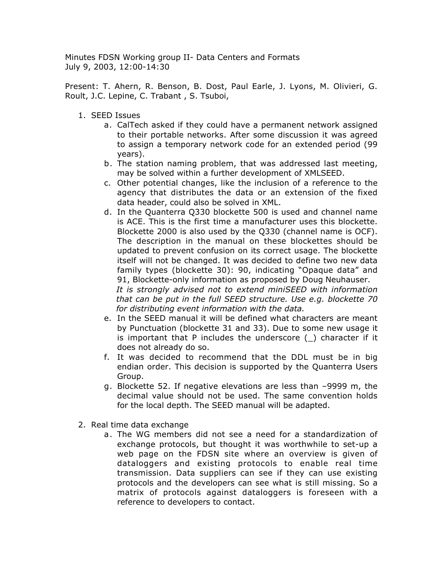Minutes FDSN Working group II- Data Centers and Formats July 9, 2003, 12:00-14:30

Present: T. Ahern, R. Benson, B. Dost, Paul Earle, J. Lyons, M. Olivieri, G. Roult, J.C. Lepine, C. Trabant , S. Tsuboi,

- 1. SEED Issues
	- a. CalTech asked if they could have a permanent network assigned to their portable networks. After some discussion it was agreed to assign a temporary network code for an extended period (99 years).
	- b. The station naming problem, that was addressed last meeting, may be solved within a further development of XMLSEED.
	- c. Other potential changes, like the inclusion of a reference to the agency that distributes the data or an extension of the fixed data header, could also be solved in XML.
	- d. In the Quanterra Q330 blockette 500 is used and channel name is ACE. This is the first time a manufacturer uses this blockette. Blockette 2000 is also used by the Q330 (channel name is OCF). The description in the manual on these blockettes should be updated to prevent confusion on its correct usage. The blockette itself will not be changed. It was decided to define two new data family types (blockette 30): 90, indicating "Opaque data" and 91, Blockette-only information as proposed by Doug Neuhauser. *It is strongly advised not to extend miniSEED with information that can be put in the full SEED structure. Use e.g. blockette 70 for distributing event information with the data.*
	- e. In the SEED manual it will be defined what characters are meant by Punctuation (blockette 31 and 33). Due to some new usage it is important that P includes the underscore  $(\_)$  character if it does not already do so.
	- f. It was decided to recommend that the DDL must be in big endian order. This decision is supported by the Quanterra Users Group.
	- g. Blockette 52. If negative elevations are less than –9999 m, the decimal value should not be used. The same convention holds for the local depth. The SEED manual will be adapted.
- 2. Real time data exchange
	- a. The WG members did not see a need for a standardization of exchange protocols, but thought it was worthwhile to set-up a web page on the FDSN site where an overview is given of dataloggers and existing protocols to enable real time transmission. Data suppliers can see if they can use existing protocols and the developers can see what is still missing. So a matrix of protocols against dataloggers is foreseen with a reference to developers to contact.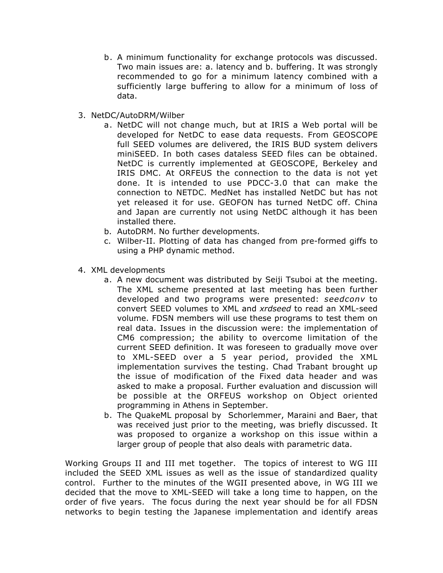- b. A minimum functionality for exchange protocols was discussed. Two main issues are: a. latency and b. buffering. It was strongly recommended to go for a minimum latency combined with a sufficiently large buffering to allow for a minimum of loss of data.
- 3. NetDC/AutoDRM/Wilber
	- a. NetDC will not change much, but at IRIS a Web portal will be developed for NetDC to ease data requests. From GEOSCOPE full SEED volumes are delivered, the IRIS BUD system delivers miniSEED. In both cases dataless SEED files can be obtained. NetDC is currently implemented at GEOSCOPE, Berkeley and IRIS DMC. At ORFEUS the connection to the data is not yet done. It is intended to use PDCC-3.0 that can make the connection to NETDC. MedNet has installed NetDC but has not yet released it for use. GEOFON has turned NetDC off. China and Japan are currently not using NetDC although it has been installed there.
	- b. AutoDRM. No further developments.
	- c. Wilber-II. Plotting of data has changed from pre-formed giffs to using a PHP dynamic method.
- 4. XML developments
	- a. A new document was distributed by Seiji Tsuboi at the meeting. The XML scheme presented at last meeting has been further developed and two programs were presented: *seedconv* to convert SEED volumes to XML and *xrdseed* to read an XML-seed volume. FDSN members will use these programs to test them on real data. Issues in the discussion were: the implementation of CM6 compression; the ability to overcome limitation of the current SEED definition. It was foreseen to gradually move over to XML-SEED over a 5 year period, provided the XML implementation survives the testing. Chad Trabant brought up the issue of modification of the Fixed data header and was asked to make a proposal. Further evaluation and discussion will be possible at the ORFEUS workshop on Object oriented programming in Athens in September.
	- b. The QuakeML proposal by Schorlemmer, Maraini and Baer, that was received just prior to the meeting, was briefly discussed. It was proposed to organize a workshop on this issue within a larger group of people that also deals with parametric data.

Working Groups II and III met together. The topics of interest to WG III included the SEED XML issues as well as the issue of standardized quality control. Further to the minutes of the WGII presented above, in WG III we decided that the move to XML-SEED will take a long time to happen, on the order of five years. The focus during the next year should be for all FDSN networks to begin testing the Japanese implementation and identify areas